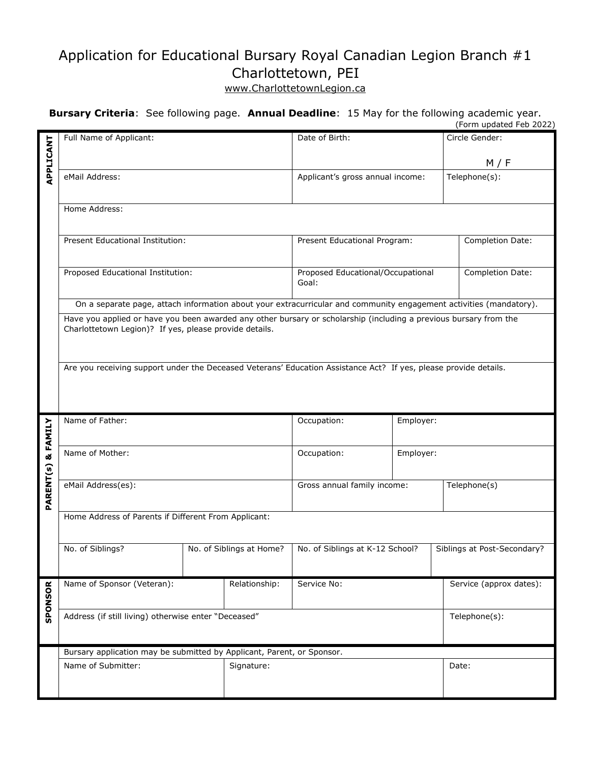## Application for Educational Bursary Royal Canadian Legion Branch #1 Charlottetown, PEI

## www.CharlottetownLegion.ca

## **Bursary Criteria**: See following page. **Annual Deadline**: 15 May for the following academic year. (Form updated Feb 2022)

|                               |                                                                                                                    |                          |                                   |  | (FUHII upuateu Feb zuzz)    |  |
|-------------------------------|--------------------------------------------------------------------------------------------------------------------|--------------------------|-----------------------------------|--|-----------------------------|--|
|                               | Full Name of Applicant:                                                                                            |                          | Date of Birth:                    |  | Circle Gender:              |  |
|                               |                                                                                                                    |                          |                                   |  |                             |  |
| APPLICANT                     |                                                                                                                    |                          |                                   |  | M / F                       |  |
|                               | eMail Address:                                                                                                     |                          | Applicant's gross annual income:  |  | Telephone(s):               |  |
|                               |                                                                                                                    |                          |                                   |  |                             |  |
|                               | Home Address:                                                                                                      |                          |                                   |  |                             |  |
|                               |                                                                                                                    |                          |                                   |  |                             |  |
|                               |                                                                                                                    |                          |                                   |  |                             |  |
|                               | Present Educational Institution:                                                                                   |                          | Present Educational Program:      |  | Completion Date:            |  |
|                               |                                                                                                                    |                          |                                   |  |                             |  |
|                               | Proposed Educational Institution:                                                                                  |                          | Proposed Educational/Occupational |  | Completion Date:            |  |
|                               |                                                                                                                    |                          | Goal:                             |  |                             |  |
|                               |                                                                                                                    |                          |                                   |  |                             |  |
|                               | On a separate page, attach information about your extracurricular and community engagement activities (mandatory). |                          |                                   |  |                             |  |
|                               | Have you applied or have you been awarded any other bursary or scholarship (including a previous bursary from the  |                          |                                   |  |                             |  |
|                               | Charlottetown Legion)? If yes, please provide details.                                                             |                          |                                   |  |                             |  |
|                               |                                                                                                                    |                          |                                   |  |                             |  |
|                               |                                                                                                                    |                          |                                   |  |                             |  |
|                               | Are you receiving support under the Deceased Veterans' Education Assistance Act? If yes, please provide details.   |                          |                                   |  |                             |  |
|                               |                                                                                                                    |                          |                                   |  |                             |  |
|                               |                                                                                                                    |                          |                                   |  |                             |  |
|                               |                                                                                                                    |                          |                                   |  |                             |  |
|                               | Name of Father:                                                                                                    |                          | Occupation:<br>Employer:          |  |                             |  |
|                               |                                                                                                                    |                          |                                   |  |                             |  |
|                               | Name of Mother:                                                                                                    |                          | Occupation:<br>Employer:          |  |                             |  |
|                               |                                                                                                                    |                          |                                   |  |                             |  |
| <b>PARENT(s) &amp; FAMILY</b> |                                                                                                                    |                          |                                   |  |                             |  |
|                               | eMail Address(es):                                                                                                 |                          |                                   |  |                             |  |
|                               |                                                                                                                    |                          | Gross annual family income:       |  | Telephone(s)                |  |
|                               |                                                                                                                    |                          |                                   |  |                             |  |
|                               | Home Address of Parents if Different From Applicant:                                                               |                          |                                   |  |                             |  |
|                               |                                                                                                                    |                          |                                   |  |                             |  |
|                               |                                                                                                                    |                          |                                   |  |                             |  |
|                               | No. of Siblings?                                                                                                   | No. of Siblings at Home? | No. of Siblings at K-12 School?   |  | Siblings at Post-Secondary? |  |
|                               |                                                                                                                    |                          |                                   |  |                             |  |
|                               |                                                                                                                    |                          |                                   |  |                             |  |
|                               | Name of Sponsor (Veteran):                                                                                         | Relationship:            | Service No:                       |  | Service (approx dates):     |  |
|                               |                                                                                                                    |                          |                                   |  |                             |  |
| SPONSOR                       | Address (if still living) otherwise enter "Deceased"                                                               |                          |                                   |  | Telephone(s):               |  |
|                               |                                                                                                                    |                          |                                   |  |                             |  |
|                               |                                                                                                                    |                          |                                   |  |                             |  |
|                               | Bursary application may be submitted by Applicant, Parent, or Sponsor.                                             |                          |                                   |  |                             |  |
|                               | Name of Submitter:                                                                                                 | Signature:               |                                   |  | Date:                       |  |
|                               |                                                                                                                    |                          |                                   |  |                             |  |